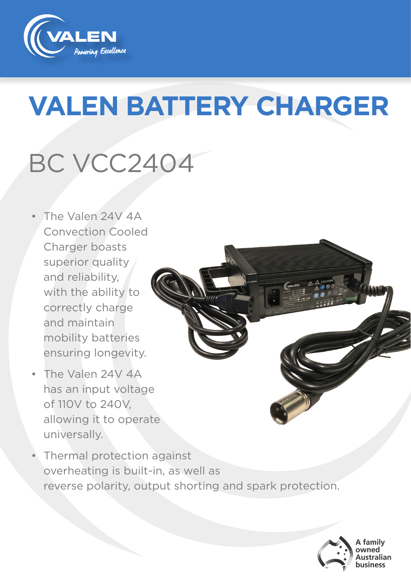

# **VALEN BATTERY CHARGER**

## BC VCC2404

- The Valen 24V 4A Convection Cooled Charger boasts superior quality and reliability, with the ability to correctly charge and maintain mobility batteries ensuring longevity.
- The Valen 24V 4A has an input voltage of 110V to 240V, allowing it to operate universally.
- Thermal protection against overheating is built-in, as well as reverse polarity, output shorting and spark protection.